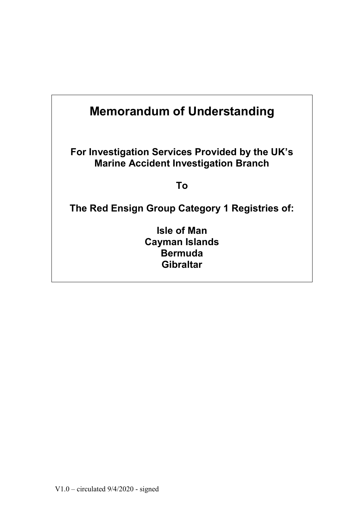| <b>Memorandum of Understanding</b>                                                             |  |
|------------------------------------------------------------------------------------------------|--|
| For Investigation Services Provided by the UK's<br><b>Marine Accident Investigation Branch</b> |  |
| Τo                                                                                             |  |
| The Red Ensign Group Category 1 Registries of:                                                 |  |
| <b>Isle of Man</b><br><b>Cayman Islands</b><br><b>Bermuda</b><br><b>Gibraltar</b>              |  |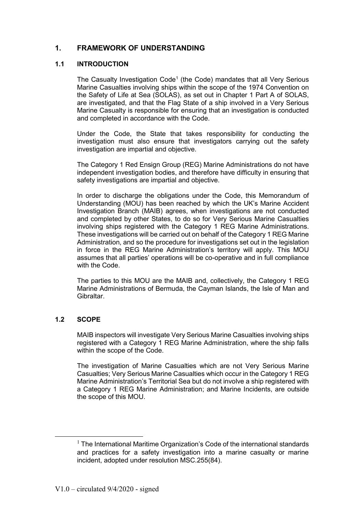# **1. FRAMEWORK OF UNDERSTANDING**

### **1.1 INTRODUCTION**

The Casualty Investigation Code<sup>1</sup> (the Code) mandates that all Very Serious Marine Casualties involving ships within the scope of the 1974 Convention on the Safety of Life at Sea (SOLAS), as set out in Chapter 1 Part A of SOLAS, are investigated, and that the Flag State of a ship involved in a Very Serious Marine Casualty is responsible for ensuring that an investigation is conducted and completed in accordance with the Code.

Under the Code, the State that takes responsibility for conducting the investigation must also ensure that investigators carrying out the safety investigation are impartial and objective.

The Category 1 Red Ensign Group (REG) Marine Administrations do not have independent investigation bodies, and therefore have difficulty in ensuring that safety investigations are impartial and objective.

In order to discharge the obligations under the Code, this Memorandum of Understanding (MOU) has been reached by which the UK's Marine Accident Investigation Branch (MAIB) agrees, when investigations are not conducted and completed by other States, to do so for Very Serious Marine Casualties involving ships registered with the Category 1 REG Marine Administrations. These investigations will be carried out on behalf of the Category 1 REG Marine Administration, and so the procedure for investigations set out in the legislation in force in the REG Marine Administration's territory will apply. This MOU assumes that all parties' operations will be co-operative and in full compliance with the Code.

The parties to this MOU are the MAIB and, collectively, the Category 1 REG Marine Administrations of Bermuda, the Cayman Islands, the Isle of Man and Gibraltar.

## **1.2 SCOPE**

<u>.</u>

MAIB inspectors will investigate Very Serious Marine Casualties involving ships registered with a Category 1 REG Marine Administration, where the ship falls within the scope of the Code.

The investigation of Marine Casualties which are not Very Serious Marine Casualties; Very Serious Marine Casualties which occur in the Category 1 REG Marine Administration's Territorial Sea but do not involve a ship registered with a Category 1 REG Marine Administration; and Marine Incidents, are outside the scope of this MOU.

 $<sup>1</sup>$  The International Maritime Organization's Code of the international standards</sup> and practices for a safety investigation into a marine casualty or marine incident, adopted under resolution MSC.255(84).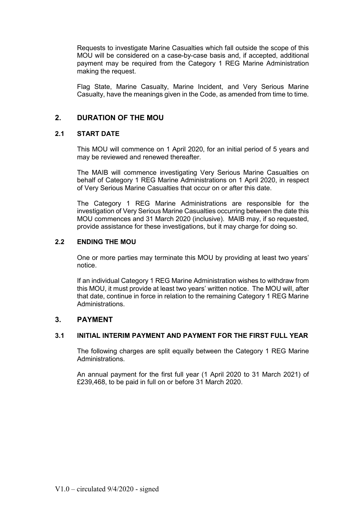Requests to investigate Marine Casualties which fall outside the scope of this MOU will be considered on a case-by-case basis and, if accepted, additional payment may be required from the Category 1 REG Marine Administration making the request.

Flag State, Marine Casualty, Marine Incident, and Very Serious Marine Casualty, have the meanings given in the Code, as amended from time to time.

# **2. DURATION OF THE MOU**

## **2.1 START DATE**

This MOU will commence on 1 April 2020, for an initial period of 5 years and may be reviewed and renewed thereafter.

The MAIB will commence investigating Very Serious Marine Casualties on behalf of Category 1 REG Marine Administrations on 1 April 2020, in respect of Very Serious Marine Casualties that occur on or after this date.

The Category 1 REG Marine Administrations are responsible for the investigation of Very Serious Marine Casualties occurring between the date this MOU commences and 31 March 2020 (inclusive). MAIB may, if so requested, provide assistance for these investigations, but it may charge for doing so.

# **2.2 ENDING THE MOU**

One or more parties may terminate this MOU by providing at least two years' notice.

If an individual Category 1 REG Marine Administration wishes to withdraw from this MOU, it must provide at least two years' written notice. The MOU will, after that date, continue in force in relation to the remaining Category 1 REG Marine Administrations.

# **3. PAYMENT**

## **3.1 INITIAL INTERIM PAYMENT AND PAYMENT FOR THE FIRST FULL YEAR**

The following charges are split equally between the Category 1 REG Marine Administrations.

An annual payment for the first full year (1 April 2020 to 31 March 2021) of £239,468, to be paid in full on or before 31 March 2020.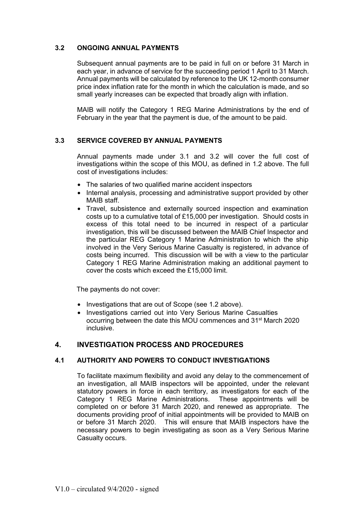## **3.2 ONGOING ANNUAL PAYMENTS**

Subsequent annual payments are to be paid in full on or before 31 March in each year, in advance of service for the succeeding period 1 April to 31 March. Annual payments will be calculated by reference to the UK 12-month consumer price index inflation rate for the month in which the calculation is made, and so small yearly increases can be expected that broadly align with inflation.

MAIB will notify the Category 1 REG Marine Administrations by the end of February in the year that the payment is due, of the amount to be paid.

# **3.3 SERVICE COVERED BY ANNUAL PAYMENTS**

Annual payments made under 3.1 and 3.2 will cover the full cost of investigations within the scope of this MOU, as defined in 1.2 above. The full cost of investigations includes:

- The salaries of two qualified marine accident inspectors
- Internal analysis, processing and administrative support provided by other MAIB staff.
- Travel, subsistence and externally sourced inspection and examination costs up to a cumulative total of £15,000 per investigation. Should costs in excess of this total need to be incurred in respect of a particular investigation, this will be discussed between the MAIB Chief Inspector and the particular REG Category 1 Marine Administration to which the ship involved in the Very Serious Marine Casualty is registered, in advance of costs being incurred. This discussion will be with a view to the particular Category 1 REG Marine Administration making an additional payment to cover the costs which exceed the £15,000 limit.

The payments do not cover:

- Investigations that are out of Scope (see 1.2 above).
- Investigations carried out into Very Serious Marine Casualties occurring between the date this MOU commences and 31st March 2020 inclusive.

# **4. INVESTIGATION PROCESS AND PROCEDURES**

## **4.1 AUTHORITY AND POWERS TO CONDUCT INVESTIGATIONS**

To facilitate maximum flexibility and avoid any delay to the commencement of an investigation, all MAIB inspectors will be appointed, under the relevant statutory powers in force in each territory, as investigators for each of the Category 1 REG Marine Administrations. These appointments will be completed on or before 31 March 2020, and renewed as appropriate. The documents providing proof of initial appointments will be provided to MAIB on or before 31 March 2020. This will ensure that MAIB inspectors have the necessary powers to begin investigating as soon as a Very Serious Marine Casualty occurs.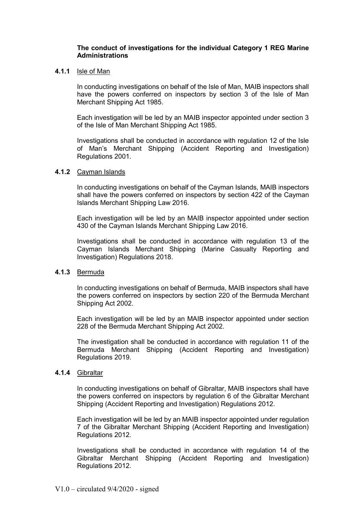### **The conduct of investigations for the individual Category 1 REG Marine Administrations**

#### **4.1.1** Isle of Man

In conducting investigations on behalf of the Isle of Man, MAIB inspectors shall have the powers conferred on inspectors by section 3 of the Isle of Man Merchant Shipping Act 1985.

Each investigation will be led by an MAIB inspector appointed under section 3 of the Isle of Man Merchant Shipping Act 1985.

Investigations shall be conducted in accordance with regulation 12 of the Isle of Man's Merchant Shipping (Accident Reporting and Investigation) Regulations 2001.

#### **4.1.2** Cayman Islands

In conducting investigations on behalf of the Cayman Islands, MAIB inspectors shall have the powers conferred on inspectors by section 422 of the Cayman Islands Merchant Shipping Law 2016.

Each investigation will be led by an MAIB inspector appointed under section 430 of the Cayman Islands Merchant Shipping Law 2016.

Investigations shall be conducted in accordance with regulation 13 of the Cayman Islands Merchant Shipping (Marine Casualty Reporting and Investigation) Regulations 2018.

# **4.1.3** Bermuda

In conducting investigations on behalf of Bermuda, MAIB inspectors shall have the powers conferred on inspectors by section 220 of the Bermuda Merchant Shipping Act 2002.

Each investigation will be led by an MAIB inspector appointed under section 228 of the Bermuda Merchant Shipping Act 2002.

The investigation shall be conducted in accordance with regulation 11 of the Bermuda Merchant Shipping (Accident Reporting and Investigation) Regulations 2019.

#### **4.1.4** Gibraltar

In conducting investigations on behalf of Gibraltar, MAIB inspectors shall have the powers conferred on inspectors by regulation 6 of the Gibraltar Merchant Shipping (Accident Reporting and Investigation) Regulations 2012.

Each investigation will be led by an MAIB inspector appointed under regulation 7 of the Gibraltar Merchant Shipping (Accident Reporting and Investigation) Regulations 2012.

Investigations shall be conducted in accordance with regulation 14 of the Gibraltar Merchant Shipping (Accident Reporting and Investigation) Regulations 2012.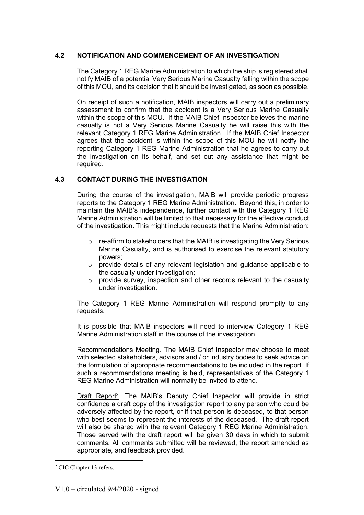# **4.2 NOTIFICATION AND COMMENCEMENT OF AN INVESTIGATION**

The Category 1 REG Marine Administration to which the ship is registered shall notify MAIB of a potential Very Serious Marine Casualty falling within the scope of this MOU, and its decision that it should be investigated, as soon as possible.

On receipt of such a notification, MAIB inspectors will carry out a preliminary assessment to confirm that the accident is a Very Serious Marine Casualty within the scope of this MOU. If the MAIB Chief Inspector believes the marine casualty is not a Very Serious Marine Casualty he will raise this with the relevant Category 1 REG Marine Administration. If the MAIB Chief Inspector agrees that the accident is within the scope of this MOU he will notify the reporting Category 1 REG Marine Administration that he agrees to carry out the investigation on its behalf, and set out any assistance that might be required.

# **4.3 CONTACT DURING THE INVESTIGATION**

During the course of the investigation, MAIB will provide periodic progress reports to the Category 1 REG Marine Administration. Beyond this, in order to maintain the MAIB's independence, further contact with the Category 1 REG Marine Administration will be limited to that necessary for the effective conduct of the investigation. This might include requests that the Marine Administration:

- $\circ$  re-affirm to stakeholders that the MAIB is investigating the Very Serious Marine Casualty, and is authorised to exercise the relevant statutory powers;
- o provide details of any relevant legislation and guidance applicable to the casualty under investigation;
- $\circ$  provide survey, inspection and other records relevant to the casualty under investigation.

The Category 1 REG Marine Administration will respond promptly to any requests.

It is possible that MAIB inspectors will need to interview Category 1 REG Marine Administration staff in the course of the investigation.

Recommendations Meeting. The MAIB Chief Inspector may choose to meet with selected stakeholders, advisors and / or industry bodies to seek advice on the formulation of appropriate recommendations to be included in the report. If such a recommendations meeting is held, representatives of the Category 1 REG Marine Administration will normally be invited to attend.

Draft Report<sup>2</sup>. The MAIB's Deputy Chief Inspector will provide in strict confidence a draft copy of the investigation report to any person who could be adversely affected by the report, or if that person is deceased, to that person who best seems to represent the interests of the deceased. The draft report will also be shared with the relevant Category 1 REG Marine Administration. Those served with the draft report will be given 30 days in which to submit comments. All comments submitted will be reviewed, the report amended as appropriate, and feedback provided.

<sup>&</sup>lt;sup>2</sup> CIC Chapter 13 refers.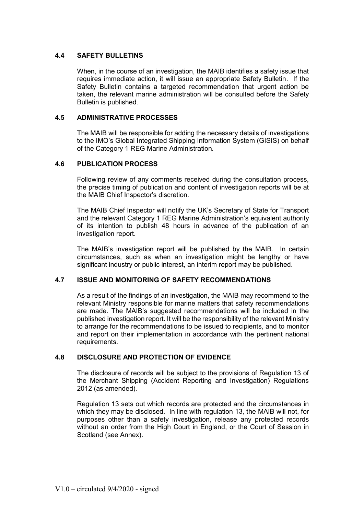# **4.4 SAFETY BULLETINS**

When, in the course of an investigation, the MAIB identifies a safety issue that requires immediate action, it will issue an appropriate Safety Bulletin. If the Safety Bulletin contains a targeted recommendation that urgent action be taken, the relevant marine administration will be consulted before the Safety Bulletin is published.

# **4.5 ADMINISTRATIVE PROCESSES**

The MAIB will be responsible for adding the necessary details of investigations to the IMO's Global Integrated Shipping Information System (GISIS) on behalf of the Category 1 REG Marine Administration*.* 

## **4.6 PUBLICATION PROCESS**

Following review of any comments received during the consultation process, the precise timing of publication and content of investigation reports will be at the MAIB Chief Inspector's discretion.

The MAIB Chief Inspector will notify the UK's Secretary of State for Transport and the relevant Category 1 REG Marine Administration's equivalent authority of its intention to publish 48 hours in advance of the publication of an investigation report.

The MAIB's investigation report will be published by the MAIB. In certain circumstances, such as when an investigation might be lengthy or have significant industry or public interest, an interim report may be published.

## **4.7 ISSUE AND MONITORING OF SAFETY RECOMMENDATIONS**

As a result of the findings of an investigation, the MAIB may recommend to the relevant Ministry responsible for marine matters that safety recommendations are made. The MAIB's suggested recommendations will be included in the published investigation report. It will be the responsibility of the relevant Ministry to arrange for the recommendations to be issued to recipients, and to monitor and report on their implementation in accordance with the pertinent national requirements.

## **4.8 DISCLOSURE AND PROTECTION OF EVIDENCE**

The disclosure of records will be subject to the provisions of Regulation 13 of the Merchant Shipping (Accident Reporting and Investigation) Regulations 2012 (as amended).

Regulation 13 sets out which records are protected and the circumstances in which they may be disclosed. In line with regulation 13, the MAIB will not, for purposes other than a safety investigation, release any protected records without an order from the High Court in England, or the Court of Session in Scotland (see Annex).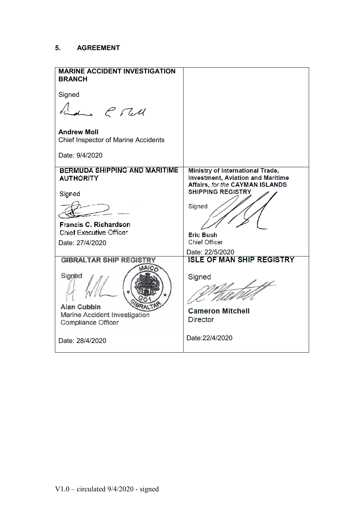# **5. AGREEMENT**

| <b>MARINE ACCIDENT INVESTIGATION</b><br><b>BRANCH</b>            |                                                                                                                               |
|------------------------------------------------------------------|-------------------------------------------------------------------------------------------------------------------------------|
| Signed                                                           |                                                                                                                               |
| Law C Tell                                                       |                                                                                                                               |
| <b>Andrew Moll</b><br><b>Chief Inspector of Marine Accidents</b> |                                                                                                                               |
| Date: 9/4/2020                                                   |                                                                                                                               |
| <b>BERMUDA SHIPPING AND MARITIME</b><br><b>AUTHORITY</b>         | <b>Ministry of International Trade,</b><br><b>Investment, Aviation and Maritime</b><br><b>Affairs, for the CAYMAN ISLANDS</b> |
| Signed                                                           | <b>SHIPPING REGISTRY</b>                                                                                                      |
|                                                                  | Signed                                                                                                                        |
| <b>Francis C. Richardson</b>                                     |                                                                                                                               |
| <b>Chief Executive Officer</b>                                   | <b>Eric Bush</b>                                                                                                              |
| Date: 27/4/2020                                                  | <b>Chief Officer</b>                                                                                                          |
|                                                                  | Date: 22/5/2020<br><b>ISLE OF MAN SHIP REGISTRY</b>                                                                           |
| <b>GIBRALTAR SHIP REGISTRY</b>                                   |                                                                                                                               |
| Signed                                                           | Signed                                                                                                                        |
| <b>Alan Cubbin</b>                                               |                                                                                                                               |
| Marine Accident Investigation                                    | <b>Cameron Mitchell</b>                                                                                                       |
| Compliance Officer                                               | <b>Director</b>                                                                                                               |
| Date: 28/4/2020                                                  | Date:22/4/2020                                                                                                                |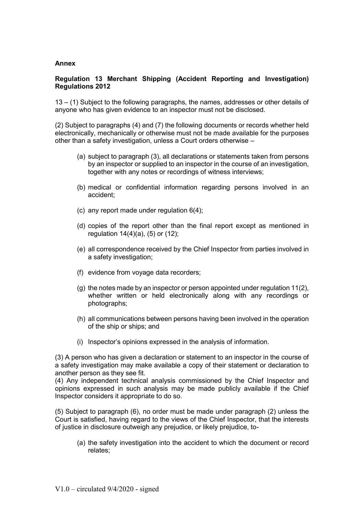## **Annex**

# **Regulation 13 Merchant Shipping (Accident Reporting and Investigation) Regulations 2012**

13 – (1) Subject to the following paragraphs, the names, addresses or other details of anyone who has given evidence to an inspector must not be disclosed.

(2) Subject to paragraphs (4) and (7) the following documents or records whether held electronically, mechanically or otherwise must not be made available for the purposes other than a safety investigation, unless a Court orders otherwise –

- (a) subject to paragraph (3), all declarations or statements taken from persons by an inspector or supplied to an inspector in the course of an investigation, together with any notes or recordings of witness interviews;
- (b) medical or confidential information regarding persons involved in an accident;
- (c) any report made under regulation 6(4);
- (d) copies of the report other than the final report except as mentioned in regulation 14(4)(a), (5) or (12);
- (e) all correspondence received by the Chief Inspector from parties involved in a safety investigation;
- (f) evidence from voyage data recorders;
- (g) the notes made by an inspector or person appointed under regulation 11(2), whether written or held electronically along with any recordings or photographs;
- (h) all communications between persons having been involved in the operation of the ship or ships; and
- (i) Inspector's opinions expressed in the analysis of information.

(3) A person who has given a declaration or statement to an inspector in the course of a safety investigation may make available a copy of their statement or declaration to another person as they see fit.

(4) Any independent technical analysis commissioned by the Chief Inspector and opinions expressed in such analysis may be made publicly available if the Chief Inspector considers it appropriate to do so.

(5) Subject to paragraph (6), no order must be made under paragraph (2) unless the Court is satisfied, having regard to the views of the Chief Inspector, that the interests of justice in disclosure outweigh any prejudice, or likely prejudice, to-

(a) the safety investigation into the accident to which the document or record relates;